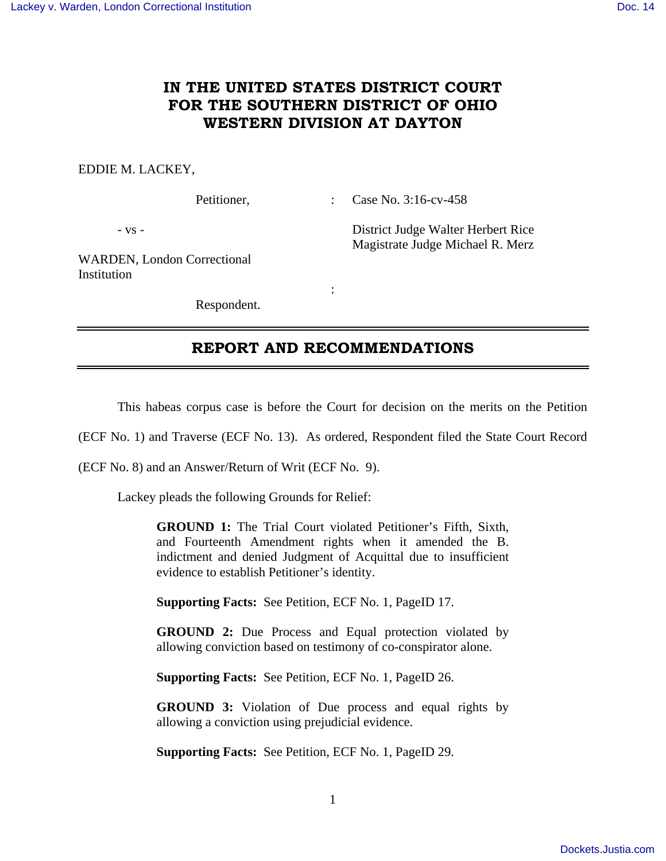# **IN THE UNITED STATES DISTRICT COURT FOR THE SOUTHERN DISTRICT OF OHIO WESTERN DIVISION AT DAYTON**

#### EDDIE M. LACKEY,

Petitioner, : Case No. 3:16-cv-458

- vs - District Judge Walter Herbert Rice Magistrate Judge Michael R. Merz

WARDEN, London Correctional Institution

Respondent.

**Service State State State** 

## **REPORT AND RECOMMENDATIONS**

This habeas corpus case is before the Court for decision on the merits on the Petition

(ECF No. 1) and Traverse (ECF No. 13). As ordered, Respondent filed the State Court Record

(ECF No. 8) and an Answer/Return of Writ (ECF No. 9).

Lackey pleads the following Grounds for Relief:

**GROUND 1:** The Trial Court violated Petitioner's Fifth, Sixth, and Fourteenth Amendment rights when it amended the B. indictment and denied Judgment of Acquittal due to insufficient evidence to establish Petitioner's identity.

**Supporting Facts:** See Petition, ECF No. 1, PageID 17.

**GROUND 2:** Due Process and Equal protection violated by allowing conviction based on testimony of co-conspirator alone.

**Supporting Facts:** See Petition, ECF No. 1, PageID 26.

**GROUND 3:** Violation of Due process and equal rights by allowing a conviction using prejudicial evidence.

**Supporting Facts:** See Petition, ECF No. 1, PageID 29.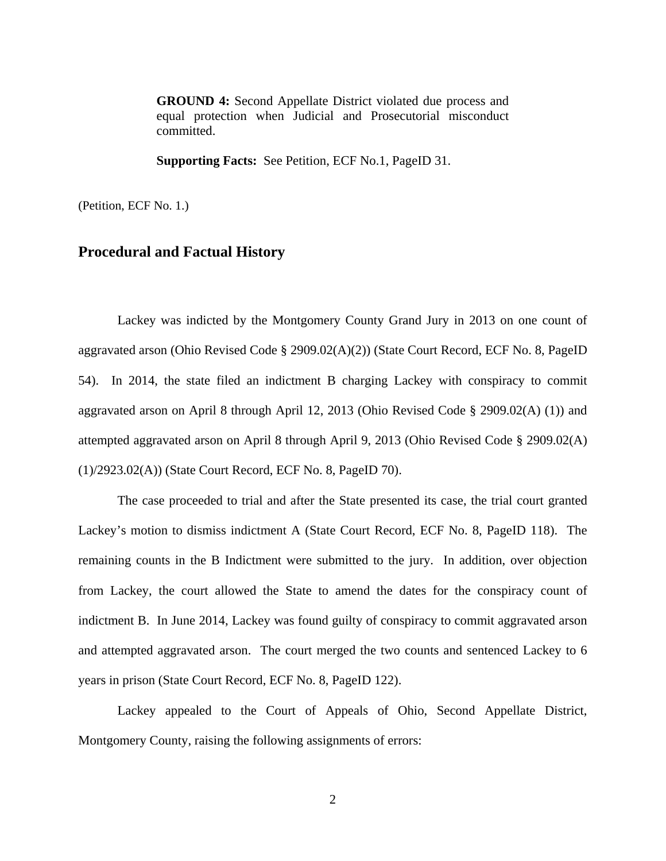**GROUND 4:** Second Appellate District violated due process and equal protection when Judicial and Prosecutorial misconduct committed.

**Supporting Facts:** See Petition, ECF No.1, PageID 31.

(Petition, ECF No. 1.)

## **Procedural and Factual History**

 Lackey was indicted by the Montgomery County Grand Jury in 2013 on one count of aggravated arson (Ohio Revised Code § 2909.02(A)(2)) (State Court Record, ECF No. 8, PageID 54). In 2014, the state filed an indictment B charging Lackey with conspiracy to commit aggravated arson on April 8 through April 12, 2013 (Ohio Revised Code § 2909.02(A) (1)) and attempted aggravated arson on April 8 through April 9, 2013 (Ohio Revised Code § 2909.02(A) (1)/2923.02(A)) (State Court Record, ECF No. 8, PageID 70).

The case proceeded to trial and after the State presented its case, the trial court granted Lackey's motion to dismiss indictment A (State Court Record, ECF No. 8, PageID 118). The remaining counts in the B Indictment were submitted to the jury. In addition, over objection from Lackey, the court allowed the State to amend the dates for the conspiracy count of indictment B. In June 2014, Lackey was found guilty of conspiracy to commit aggravated arson and attempted aggravated arson. The court merged the two counts and sentenced Lackey to 6 years in prison (State Court Record, ECF No. 8, PageID 122).

Lackey appealed to the Court of Appeals of Ohio, Second Appellate District, Montgomery County, raising the following assignments of errors: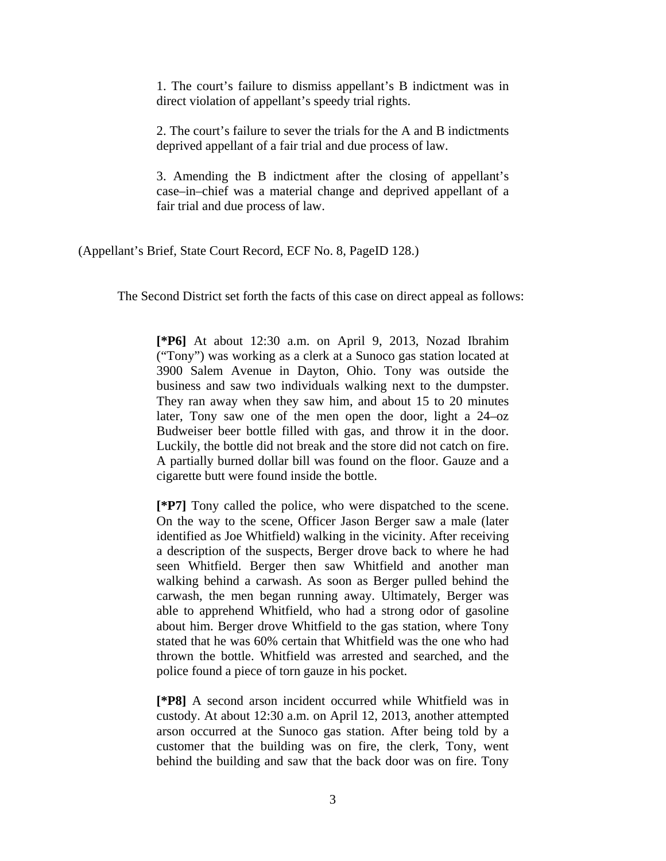1. The court's failure to dismiss appellant's B indictment was in direct violation of appellant's speedy trial rights.

2. The court's failure to sever the trials for the A and B indictments deprived appellant of a fair trial and due process of law.

3. Amending the B indictment after the closing of appellant's case–in–chief was a material change and deprived appellant of a fair trial and due process of law.

(Appellant's Brief, State Court Record, ECF No. 8, PageID 128.)

The Second District set forth the facts of this case on direct appeal as follows:

**[\*P6]** At about 12:30 a.m. on April 9, 2013, Nozad Ibrahim ("Tony") was working as a clerk at a Sunoco gas station located at 3900 Salem Avenue in Dayton, Ohio. Tony was outside the business and saw two individuals walking next to the dumpster. They ran away when they saw him, and about 15 to 20 minutes later, Tony saw one of the men open the door, light a 24–oz Budweiser beer bottle filled with gas, and throw it in the door. Luckily, the bottle did not break and the store did not catch on fire. A partially burned dollar bill was found on the floor. Gauze and a cigarette butt were found inside the bottle.

**[\*P7]** Tony called the police, who were dispatched to the scene. On the way to the scene, Officer Jason Berger saw a male (later identified as Joe Whitfield) walking in the vicinity. After receiving a description of the suspects, Berger drove back to where he had seen Whitfield. Berger then saw Whitfield and another man walking behind a carwash. As soon as Berger pulled behind the carwash, the men began running away. Ultimately, Berger was able to apprehend Whitfield, who had a strong odor of gasoline about him. Berger drove Whitfield to the gas station, where Tony stated that he was 60% certain that Whitfield was the one who had thrown the bottle. Whitfield was arrested and searched, and the police found a piece of torn gauze in his pocket.

**[\*P8]** A second arson incident occurred while Whitfield was in custody. At about 12:30 a.m. on April 12, 2013, another attempted arson occurred at the Sunoco gas station. After being told by a customer that the building was on fire, the clerk, Tony, went behind the building and saw that the back door was on fire. Tony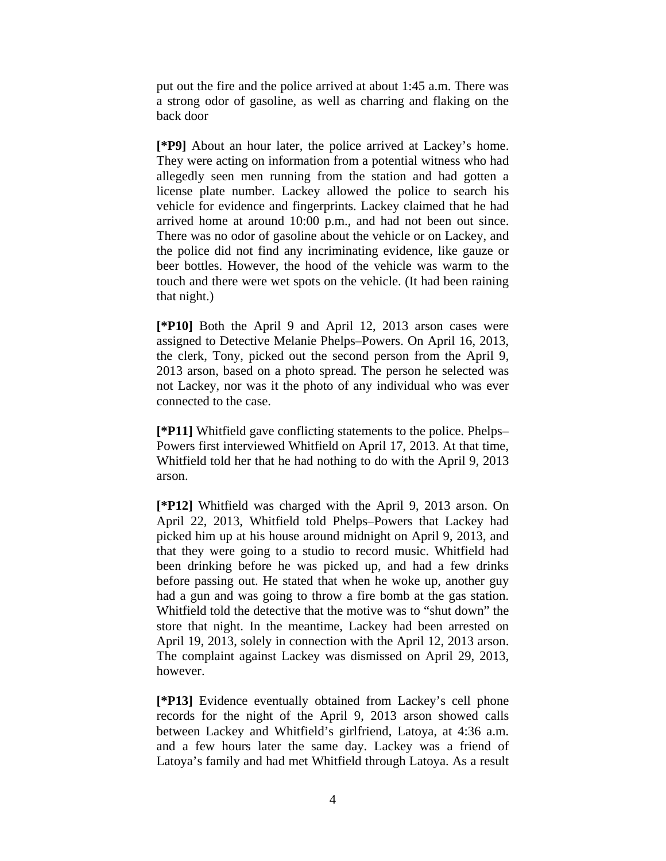put out the fire and the police arrived at about 1:45 a.m. There was a strong odor of gasoline, as well as charring and flaking on the back door

**[\*P9]** About an hour later, the police arrived at Lackey's home. They were acting on information from a potential witness who had allegedly seen men running from the station and had gotten a license plate number. Lackey allowed the police to search his vehicle for evidence and fingerprints. Lackey claimed that he had arrived home at around 10:00 p.m., and had not been out since. There was no odor of gasoline about the vehicle or on Lackey, and the police did not find any incriminating evidence, like gauze or beer bottles. However, the hood of the vehicle was warm to the touch and there were wet spots on the vehicle. (It had been raining that night.)

**[\*P10]** Both the April 9 and April 12, 2013 arson cases were assigned to Detective Melanie Phelps–Powers. On April 16, 2013, the clerk, Tony, picked out the second person from the April 9, 2013 arson, based on a photo spread. The person he selected was not Lackey, nor was it the photo of any individual who was ever connected to the case.

**[\*P11]** Whitfield gave conflicting statements to the police. Phelps– Powers first interviewed Whitfield on April 17, 2013. At that time, Whitfield told her that he had nothing to do with the April 9, 2013 arson.

**[\*P12]** Whitfield was charged with the April 9, 2013 arson. On April 22, 2013, Whitfield told Phelps–Powers that Lackey had picked him up at his house around midnight on April 9, 2013, and that they were going to a studio to record music. Whitfield had been drinking before he was picked up, and had a few drinks before passing out. He stated that when he woke up, another guy had a gun and was going to throw a fire bomb at the gas station. Whitfield told the detective that the motive was to "shut down" the store that night. In the meantime, Lackey had been arrested on April 19, 2013, solely in connection with the April 12, 2013 arson. The complaint against Lackey was dismissed on April 29, 2013, however.

**[\*P13]** Evidence eventually obtained from Lackey's cell phone records for the night of the April 9, 2013 arson showed calls between Lackey and Whitfield's girlfriend, Latoya, at 4:36 a.m. and a few hours later the same day. Lackey was a friend of Latoya's family and had met Whitfield through Latoya. As a result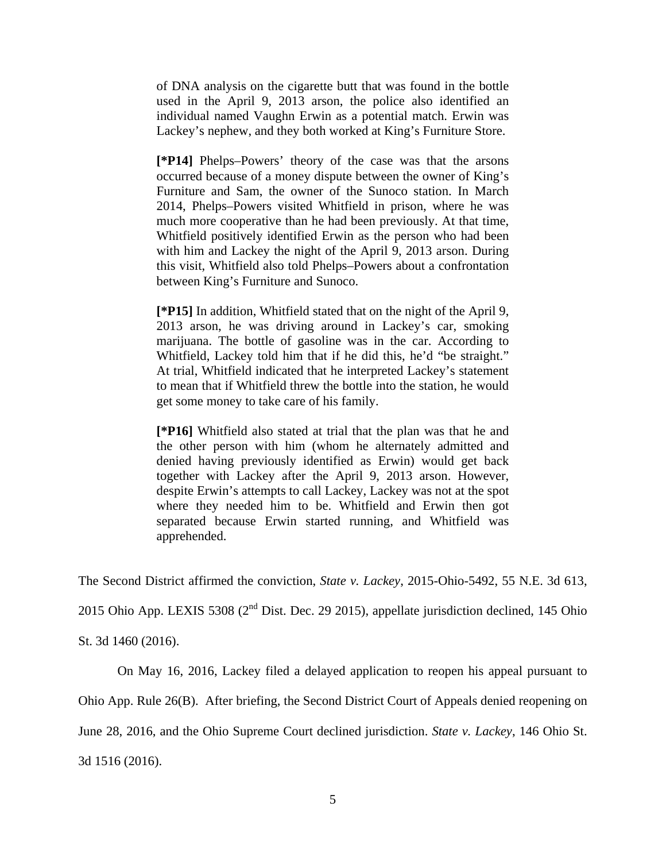of DNA analysis on the cigarette butt that was found in the bottle used in the April 9, 2013 arson, the police also identified an individual named Vaughn Erwin as a potential match. Erwin was Lackey's nephew, and they both worked at King's Furniture Store.

**[\*P14]** Phelps–Powers' theory of the case was that the arsons occurred because of a money dispute between the owner of King's Furniture and Sam, the owner of the Sunoco station. In March 2014, Phelps–Powers visited Whitfield in prison, where he was much more cooperative than he had been previously. At that time, Whitfield positively identified Erwin as the person who had been with him and Lackey the night of the April 9, 2013 arson. During this visit, Whitfield also told Phelps–Powers about a confrontation between King's Furniture and Sunoco.

**[\*P15]** In addition, Whitfield stated that on the night of the April 9, 2013 arson, he was driving around in Lackey's car, smoking marijuana. The bottle of gasoline was in the car. According to Whitfield, Lackey told him that if he did this, he'd "be straight." At trial, Whitfield indicated that he interpreted Lackey's statement to mean that if Whitfield threw the bottle into the station, he would get some money to take care of his family.

**[\*P16]** Whitfield also stated at trial that the plan was that he and the other person with him (whom he alternately admitted and denied having previously identified as Erwin) would get back together with Lackey after the April 9, 2013 arson. However, despite Erwin's attempts to call Lackey, Lackey was not at the spot where they needed him to be. Whitfield and Erwin then got separated because Erwin started running, and Whitfield was apprehended.

The Second District affirmed the conviction, *State v. Lackey*, 2015-Ohio-5492, 55 N.E. 3d 613,

2015 Ohio App. LEXIS 5308 ( $2<sup>nd</sup>$  Dist. Dec. 29 2015), appellate jurisdiction declined, 145 Ohio

St. 3d 1460 (2016).

On May 16, 2016, Lackey filed a delayed application to reopen his appeal pursuant to

Ohio App. Rule 26(B). After briefing, the Second District Court of Appeals denied reopening on

June 28, 2016, and the Ohio Supreme Court declined jurisdiction. *State v. Lackey*, 146 Ohio St.

3d 1516 (2016).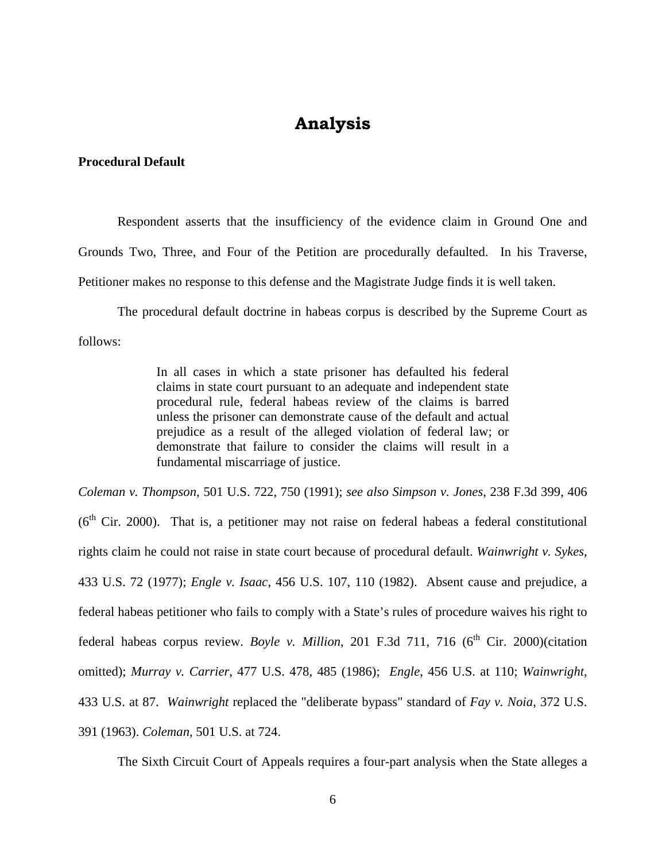# **Analysis**

### **Procedural Default**

 Respondent asserts that the insufficiency of the evidence claim in Ground One and Grounds Two, Three, and Four of the Petition are procedurally defaulted. In his Traverse, Petitioner makes no response to this defense and the Magistrate Judge finds it is well taken.

 The procedural default doctrine in habeas corpus is described by the Supreme Court as follows:

> In all cases in which a state prisoner has defaulted his federal claims in state court pursuant to an adequate and independent state procedural rule, federal habeas review of the claims is barred unless the prisoner can demonstrate cause of the default and actual prejudice as a result of the alleged violation of federal law; or demonstrate that failure to consider the claims will result in a fundamental miscarriage of justice.

*Coleman v. Thompson*, 501 U.S. 722, 750 (1991); *see also Simpson v. Jones*, 238 F.3d 399, 406  $(6<sup>th</sup> Cir. 2000)$ . That is, a petitioner may not raise on federal habeas a federal constitutional rights claim he could not raise in state court because of procedural default. *Wainwright v. Sykes*, 433 U.S. 72 (1977); *Engle v. Isaac*, 456 U.S. 107, 110 (1982). Absent cause and prejudice, a federal habeas petitioner who fails to comply with a State's rules of procedure waives his right to federal habeas corpus review. *Boyle v. Million*, 201 F.3d 711, 716 (6<sup>th</sup> Cir. 2000)(citation omitted); *Murray v. Carrier*, 477 U.S. 478, 485 (1986); *Engle*, 456 U.S. at 110; *Wainwright*, 433 U.S. at 87. *Wainwright* replaced the "deliberate bypass" standard of *Fay v. Noia*, 372 U.S. 391 (1963). *Coleman*, 501 U.S. at 724.

The Sixth Circuit Court of Appeals requires a four-part analysis when the State alleges a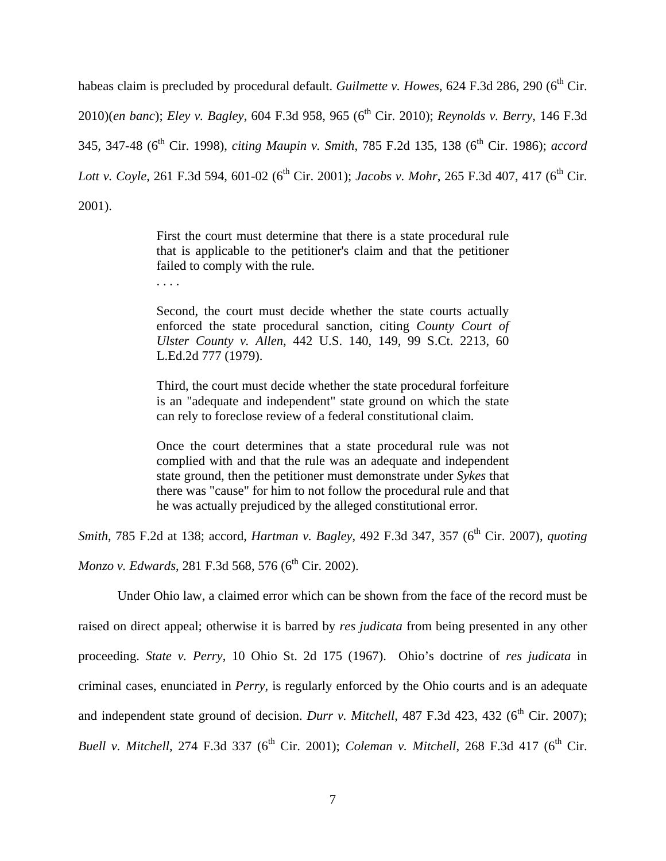habeas claim is precluded by procedural default. *Guilmette v. Howes*, 624 F.3d 286, 290 (6<sup>th</sup> Cir. 2010)(*en banc*); *Eley v. Bagley*, 604 F.3d 958, 965 (6<sup>th</sup> Cir. 2010); *Reynolds v. Berry*, 146 F.3d 345, 347-48 (6th Cir. 1998), *citing Maupin v. Smith*, 785 F.2d 135, 138 (6th Cir. 1986); *accord Lott v. Coyle*, 261 F.3d 594, 601-02 (6<sup>th</sup> Cir. 2001); *Jacobs v. Mohr*, 265 F.3d 407, 417 (6<sup>th</sup> Cir. 2001).

> First the court must determine that there is a state procedural rule that is applicable to the petitioner's claim and that the petitioner failed to comply with the rule.

. . . .

Second, the court must decide whether the state courts actually enforced the state procedural sanction, citing *County Court of Ulster County v. Allen*, 442 U.S. 140, 149, 99 S.Ct. 2213, 60 L.Ed.2d 777 (1979).

Third, the court must decide whether the state procedural forfeiture is an "adequate and independent" state ground on which the state can rely to foreclose review of a federal constitutional claim.

Once the court determines that a state procedural rule was not complied with and that the rule was an adequate and independent state ground, then the petitioner must demonstrate under *Sykes* that there was "cause" for him to not follow the procedural rule and that he was actually prejudiced by the alleged constitutional error.

*Smith*, 785 F.2d at 138; accord, *Hartman v. Bagley*, 492 F.3d 347, 357 (6<sup>th</sup> Cir. 2007), *quoting Monzo v. Edwards*, 281 F.3d 568, 576 (6<sup>th</sup> Cir. 2002).

 Under Ohio law, a claimed error which can be shown from the face of the record must be raised on direct appeal; otherwise it is barred by *res judicata* from being presented in any other proceeding. *State v. Perry*, 10 Ohio St. 2d 175 (1967). Ohio's doctrine of *res judicata* in criminal cases, enunciated in *Perry*, is regularly enforced by the Ohio courts and is an adequate and independent state ground of decision. *Durr v. Mitchell*, 487 F.3d 423, 432 ( $6<sup>th</sup>$  Cir. 2007); *Buell v. Mitchell*, 274 F.3d 337 (6<sup>th</sup> Cir. 2001); *Coleman v. Mitchell*, 268 F.3d 417 (6<sup>th</sup> Cir.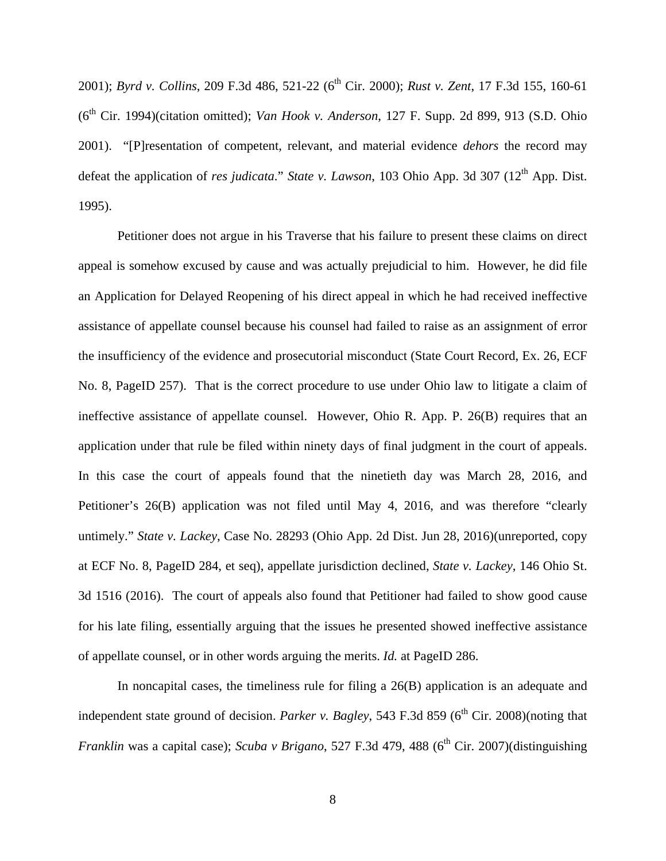2001); *Byrd v. Collins*, 209 F.3d 486, 521-22 (6<sup>th</sup> Cir. 2000); *Rust v. Zent*, 17 F.3d 155, 160-61 (6<sup>th</sup> Cir. 1994)(citation omitted); *Van Hook v. Anderson*, 127 F. Supp. 2d 899, 913 (S.D. Ohio 2001). "[P]resentation of competent, relevant, and material evidence *dehors* the record may defeat the application of *res judicata*." *State v. Lawson*, 103 Ohio App. 3d 307 (12<sup>th</sup> App. Dist. 1995).

 Petitioner does not argue in his Traverse that his failure to present these claims on direct appeal is somehow excused by cause and was actually prejudicial to him. However, he did file an Application for Delayed Reopening of his direct appeal in which he had received ineffective assistance of appellate counsel because his counsel had failed to raise as an assignment of error the insufficiency of the evidence and prosecutorial misconduct (State Court Record, Ex. 26, ECF No. 8, PageID 257). That is the correct procedure to use under Ohio law to litigate a claim of ineffective assistance of appellate counsel. However, Ohio R. App. P. 26(B) requires that an application under that rule be filed within ninety days of final judgment in the court of appeals. In this case the court of appeals found that the ninetieth day was March 28, 2016, and Petitioner's 26(B) application was not filed until May 4, 2016, and was therefore "clearly untimely." *State v. Lackey*, Case No. 28293 (Ohio App. 2d Dist. Jun 28, 2016)(unreported, copy at ECF No. 8, PageID 284, et seq), appellate jurisdiction declined, *State v. Lackey*, 146 Ohio St. 3d 1516 (2016). The court of appeals also found that Petitioner had failed to show good cause for his late filing, essentially arguing that the issues he presented showed ineffective assistance of appellate counsel, or in other words arguing the merits. *Id.* at PageID 286.

In noncapital cases, the timeliness rule for filing a 26(B) application is an adequate and independent state ground of decision. *Parker v. Bagley*, 543 F.3d 859 ( $6<sup>th</sup>$  Cir. 2008)(noting that *Franklin* was a capital case); *Scuba v Brigano*, 527 F.3d 479, 488 (6<sup>th</sup> Cir. 2007)(distinguishing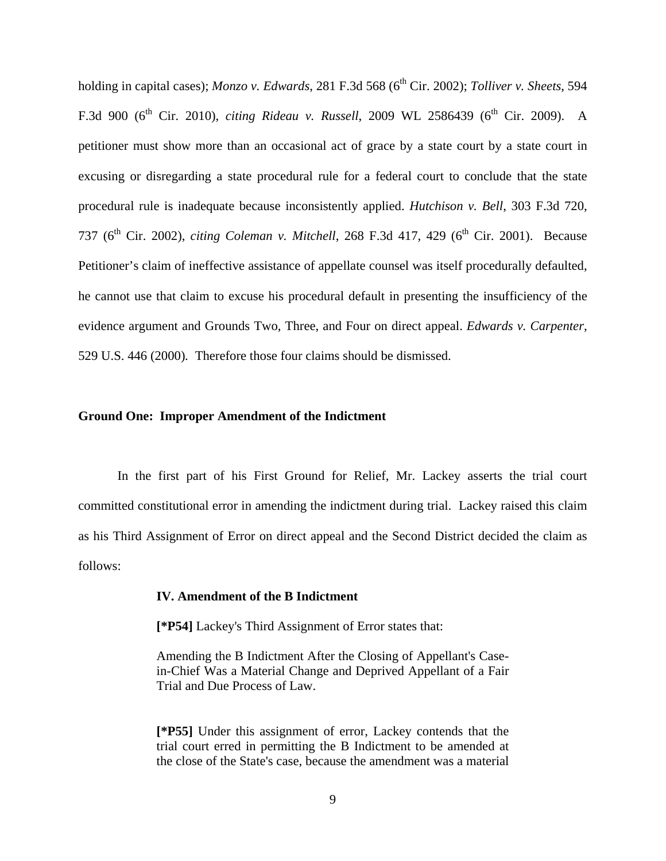holding in capital cases); *Monzo v. Edwards*, 281 F.3d 568 (6<sup>th</sup> Cir. 2002); *Tolliver v. Sheets*, 594 F.3d 900 (6<sup>th</sup> Cir. 2010), *citing Rideau v. Russell*, 2009 WL 2586439 (6<sup>th</sup> Cir. 2009). A petitioner must show more than an occasional act of grace by a state court by a state court in excusing or disregarding a state procedural rule for a federal court to conclude that the state procedural rule is inadequate because inconsistently applied. *Hutchison v. Bell*, 303 F.3d 720, 737 (6<sup>th</sup> Cir. 2002), *citing Coleman v. Mitchell*, 268 F.3d 417, 429 (6<sup>th</sup> Cir. 2001). Because Petitioner's claim of ineffective assistance of appellate counsel was itself procedurally defaulted, he cannot use that claim to excuse his procedural default in presenting the insufficiency of the evidence argument and Grounds Two, Three, and Four on direct appeal. *Edwards v. Carpenter*, 529 U.S. 446 (2000)*.* Therefore those four claims should be dismissed.

#### **Ground One: Improper Amendment of the Indictment**

 In the first part of his First Ground for Relief, Mr. Lackey asserts the trial court committed constitutional error in amending the indictment during trial. Lackey raised this claim as his Third Assignment of Error on direct appeal and the Second District decided the claim as follows:

#### **IV. Amendment of the B Indictment**

**[\*P54]** Lackey's Third Assignment of Error states that:

Amending the B Indictment After the Closing of Appellant's Casein-Chief Was a Material Change and Deprived Appellant of a Fair Trial and Due Process of Law.

**[\*P55]** Under this assignment of error, Lackey contends that the trial court erred in permitting the B Indictment to be amended at the close of the State's case, because the amendment was a material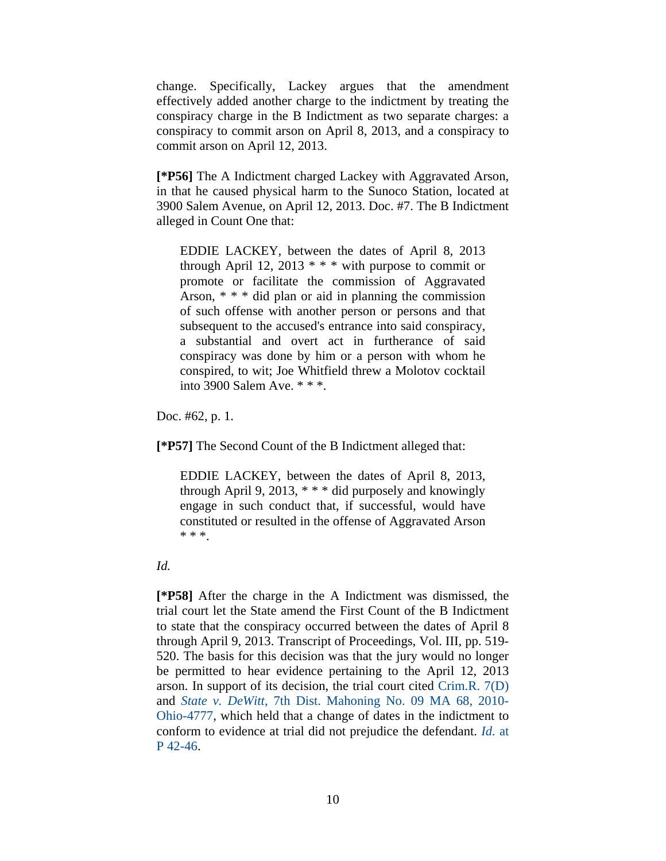change. Specifically, Lackey argues that the amendment effectively added another charge to the indictment by treating the conspiracy charge in the B Indictment as two separate charges: a conspiracy to commit arson on April 8, 2013, and a conspiracy to commit arson on April 12, 2013.

**[\*P56]** The A Indictment charged Lackey with Aggravated Arson, in that he caused physical harm to the Sunoco Station, located at 3900 Salem Avenue, on April 12, 2013. Doc. #7. The B Indictment alleged in Count One that:

EDDIE LACKEY, between the dates of April 8, 2013 through April 12, 2013  $* * *$  with purpose to commit or promote or facilitate the commission of Aggravated Arson, \* \* \* did plan or aid in planning the commission of such offense with another person or persons and that subsequent to the accused's entrance into said conspiracy, a substantial and overt act in furtherance of said conspiracy was done by him or a person with whom he conspired, to wit; Joe Whitfield threw a Molotov cocktail into 3900 Salem Ave. \* \* \*.

Doc. #62, p. 1.

**[\*P57]** The Second Count of the B Indictment alleged that:

EDDIE LACKEY, between the dates of April 8, 2013, through April 9, 2013,  $***$  did purposely and knowingly engage in such conduct that, if successful, would have constituted or resulted in the offense of Aggravated Arson \* \* \*.

#### *Id.*

**[\*P58]** After the charge in the A Indictment was dismissed, the trial court let the State amend the First Count of the B Indictment to state that the conspiracy occurred between the dates of April 8 through April 9, 2013. Transcript of Proceedings, Vol. III, pp. 519- 520. The basis for this decision was that the jury would no longer be permitted to hear evidence pertaining to the April 12, 2013 arson. In support of its decision, the trial court cited Crim.R. 7(D) and *State v. DeWitt*, 7th Dist. Mahoning No. 09 MA 68, 2010- Ohio-4777, which held that a change of dates in the indictment to conform to evidence at trial did not prejudice the defendant. *Id.* at P 42-46.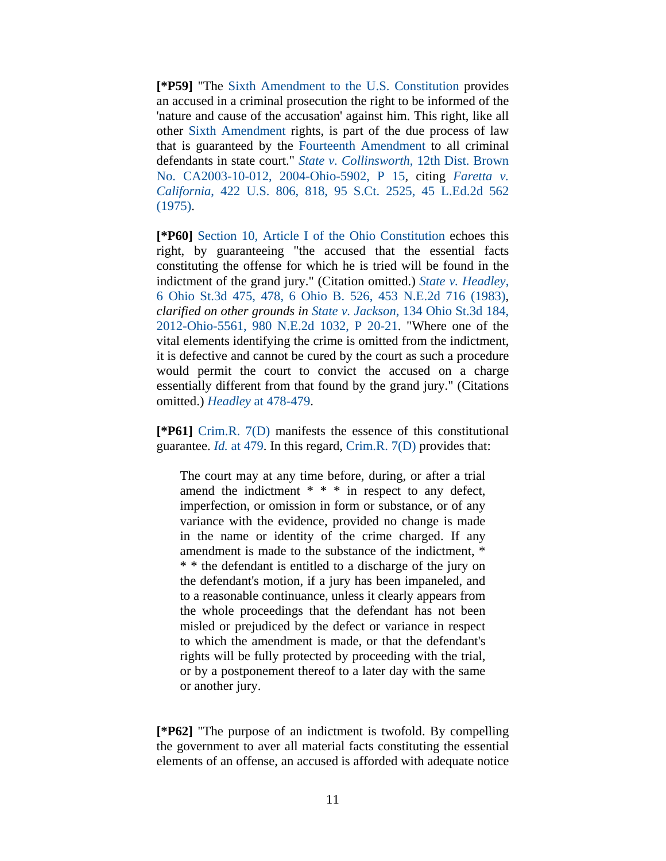**[\*P59]** "The Sixth Amendment to the U.S. Constitution provides an accused in a criminal prosecution the right to be informed of the 'nature and cause of the accusation' against him. This right, like all other Sixth Amendment rights, is part of the due process of law that is guaranteed by the Fourteenth Amendment to all criminal defendants in state court." *State v. Collinsworth*, 12th Dist. Brown No. CA2003-10-012, 2004-Ohio-5902, P 15, citing *Faretta v. California*, 422 U.S. 806, 818, 95 S.Ct. 2525, 45 L.Ed.2d 562 (1975).

**[\*P60]** Section 10, Article I of the Ohio Constitution echoes this right, by guaranteeing "the accused that the essential facts constituting the offense for which he is tried will be found in the indictment of the grand jury." (Citation omitted.) *State v. Headley*, 6 Ohio St.3d 475, 478, 6 Ohio B. 526, 453 N.E.2d 716 (1983), *clarified on other grounds in State v. Jackson*, 134 Ohio St.3d 184, 2012-Ohio-5561, 980 N.E.2d 1032, P 20-21. "Where one of the vital elements identifying the crime is omitted from the indictment, it is defective and cannot be cured by the court as such a procedure would permit the court to convict the accused on a charge essentially different from that found by the grand jury." (Citations omitted.) *Headley* at 478-479.

**[\*P61]** Crim.R. 7(D) manifests the essence of this constitutional guarantee. *Id.* at 479. In this regard, Crim.R. 7(D) provides that:

The court may at any time before, during, or after a trial amend the indictment \* \* \* in respect to any defect, imperfection, or omission in form or substance, or of any variance with the evidence, provided no change is made in the name or identity of the crime charged. If any amendment is made to the substance of the indictment, \* \* \* the defendant is entitled to a discharge of the jury on the defendant's motion, if a jury has been impaneled, and to a reasonable continuance, unless it clearly appears from the whole proceedings that the defendant has not been misled or prejudiced by the defect or variance in respect to which the amendment is made, or that the defendant's rights will be fully protected by proceeding with the trial, or by a postponement thereof to a later day with the same or another jury.

**[\*P62]** "The purpose of an indictment is twofold. By compelling the government to aver all material facts constituting the essential elements of an offense, an accused is afforded with adequate notice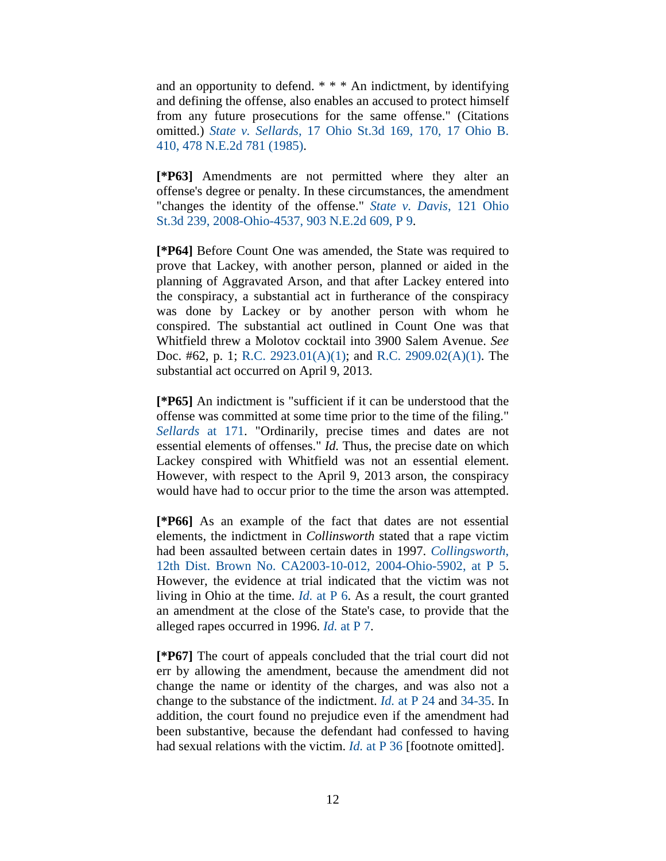and an opportunity to defend. \* \* \* An indictment, by identifying and defining the offense, also enables an accused to protect himself from any future prosecutions for the same offense." (Citations omitted.) *State v. Sellards*, 17 Ohio St.3d 169, 170, 17 Ohio B. 410, 478 N.E.2d 781 (1985).

**[\*P63]** Amendments are not permitted where they alter an offense's degree or penalty. In these circumstances, the amendment "changes the identity of the offense." *State v. Davis*, 121 Ohio St.3d 239, 2008-Ohio-4537, 903 N.E.2d 609, P 9.

**[\*P64]** Before Count One was amended, the State was required to prove that Lackey, with another person, planned or aided in the planning of Aggravated Arson, and that after Lackey entered into the conspiracy, a substantial act in furtherance of the conspiracy was done by Lackey or by another person with whom he conspired. The substantial act outlined in Count One was that Whitfield threw a Molotov cocktail into 3900 Salem Avenue. *See* Doc. #62, p. 1; R.C. 2923.01(A)(1); and R.C. 2909.02(A)(1). The substantial act occurred on April 9, 2013.

**[\*P65]** An indictment is "sufficient if it can be understood that the offense was committed at some time prior to the time of the filing." *Sellards* at 171. "Ordinarily, precise times and dates are not essential elements of offenses." *Id.* Thus, the precise date on which Lackey conspired with Whitfield was not an essential element. However, with respect to the April 9, 2013 arson, the conspiracy would have had to occur prior to the time the arson was attempted.

**[\*P66]** As an example of the fact that dates are not essential elements, the indictment in *Collinsworth* stated that a rape victim had been assaulted between certain dates in 1997. *Collingsworth*, 12th Dist. Brown No. CA2003-10-012, 2004-Ohio-5902, at P 5. However, the evidence at trial indicated that the victim was not living in Ohio at the time. *Id.* at P 6. As a result, the court granted an amendment at the close of the State's case, to provide that the alleged rapes occurred in 1996. *Id.* at P 7.

**[\*P67]** The court of appeals concluded that the trial court did not err by allowing the amendment, because the amendment did not change the name or identity of the charges, and was also not a change to the substance of the indictment. *Id.* at P 24 and 34-35. In addition, the court found no prejudice even if the amendment had been substantive, because the defendant had confessed to having had sexual relations with the victim. *Id.* at P 36 [footnote omitted].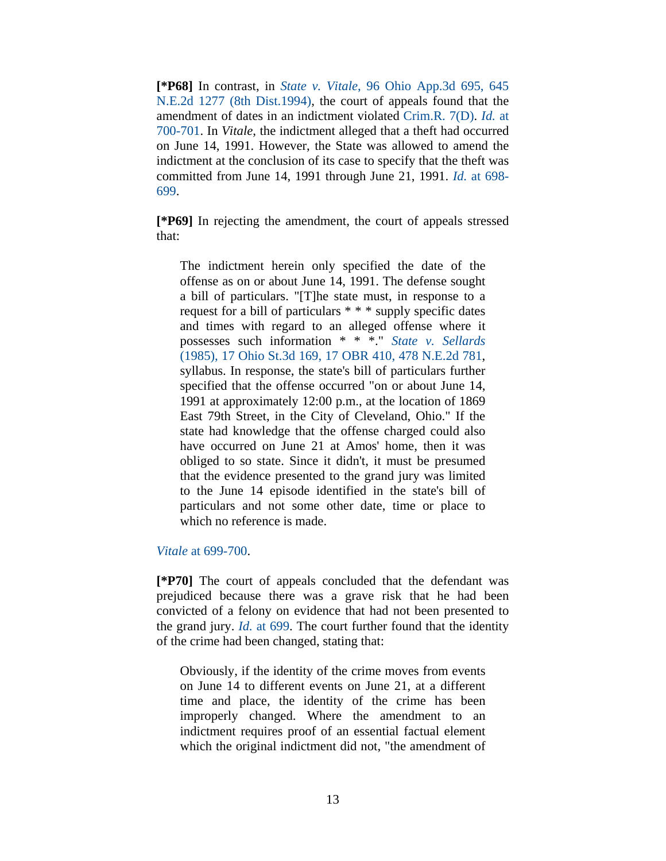**[\*P68]** In contrast, in *State v. Vitale*, 96 Ohio App.3d 695, 645 N.E.2d 1277 (8th Dist.1994), the court of appeals found that the amendment of dates in an indictment violated Crim.R. 7(D). *Id.* at 700-701. In *Vitale*, the indictment alleged that a theft had occurred on June 14, 1991. However, the State was allowed to amend the indictment at the conclusion of its case to specify that the theft was committed from June 14, 1991 through June 21, 1991. *Id.* at 698- 699.

**[\*P69]** In rejecting the amendment, the court of appeals stressed that:

The indictment herein only specified the date of the offense as on or about June 14, 1991. The defense sought a bill of particulars. "[T]he state must, in response to a request for a bill of particulars \* \* \* supply specific dates and times with regard to an alleged offense where it possesses such information \* \* \*." *State v. Sellards* (1985), 17 Ohio St.3d 169, 17 OBR 410, 478 N.E.2d 781, syllabus. In response, the state's bill of particulars further specified that the offense occurred "on or about June 14, 1991 at approximately 12:00 p.m., at the location of 1869 East 79th Street, in the City of Cleveland, Ohio." If the state had knowledge that the offense charged could also have occurred on June 21 at Amos' home, then it was obliged to so state. Since it didn't, it must be presumed that the evidence presented to the grand jury was limited to the June 14 episode identified in the state's bill of particulars and not some other date, time or place to which no reference is made.

#### *Vitale* at 699-700.

**[\*P70]** The court of appeals concluded that the defendant was prejudiced because there was a grave risk that he had been convicted of a felony on evidence that had not been presented to the grand jury. *Id.* at 699. The court further found that the identity of the crime had been changed, stating that:

Obviously, if the identity of the crime moves from events on June 14 to different events on June 21, at a different time and place, the identity of the crime has been improperly changed. Where the amendment to an indictment requires proof of an essential factual element which the original indictment did not, "the amendment of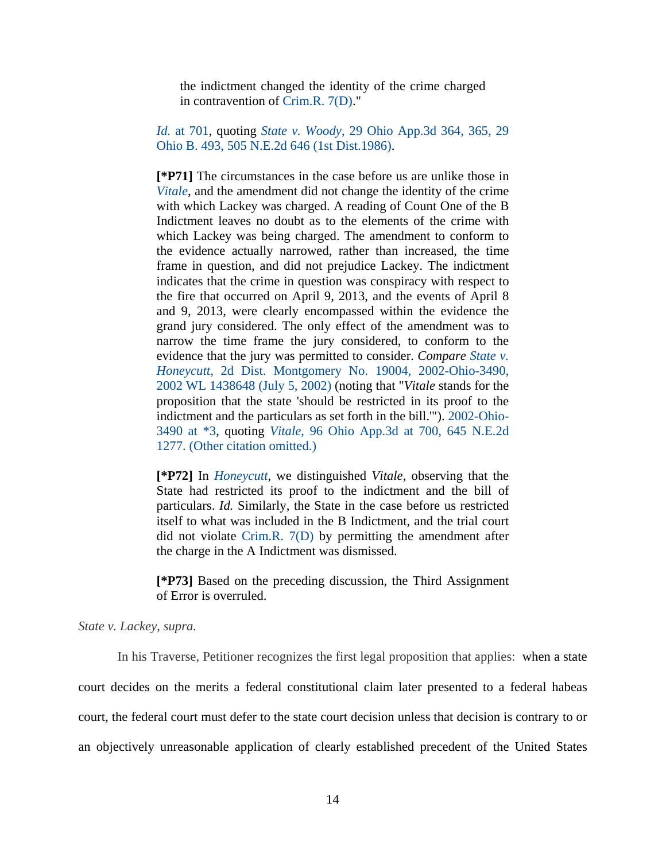the indictment changed the identity of the crime charged in contravention of Crim.R. 7(D)."

*Id.* at 701, quoting *State v. Woody*, 29 Ohio App.3d 364, 365, 29 Ohio B. 493, 505 N.E.2d 646 (1st Dist.1986).

**[\*P71]** The circumstances in the case before us are unlike those in *Vitale*, and the amendment did not change the identity of the crime with which Lackey was charged. A reading of Count One of the B Indictment leaves no doubt as to the elements of the crime with which Lackey was being charged. The amendment to conform to the evidence actually narrowed, rather than increased, the time frame in question, and did not prejudice Lackey. The indictment indicates that the crime in question was conspiracy with respect to the fire that occurred on April 9, 2013, and the events of April 8 and 9, 2013, were clearly encompassed within the evidence the grand jury considered. The only effect of the amendment was to narrow the time frame the jury considered, to conform to the evidence that the jury was permitted to consider. *Compare State v. Honeycutt*, 2d Dist. Montgomery No. 19004, 2002-Ohio-3490, 2002 WL 1438648 (July 5, 2002) (noting that "*Vitale* stands for the proposition that the state 'should be restricted in its proof to the indictment and the particulars as set forth in the bill.'"). 2002-Ohio-3490 at \*3, quoting *Vitale*, 96 Ohio App.3d at 700, 645 N.E.2d 1277. (Other citation omitted.)

**[\*P72]** In *Honeycutt*, we distinguished *Vitale*, observing that the State had restricted its proof to the indictment and the bill of particulars. *Id.* Similarly, the State in the case before us restricted itself to what was included in the B Indictment, and the trial court did not violate Crim.R. 7(D) by permitting the amendment after the charge in the A Indictment was dismissed.

**[\*P73]** Based on the preceding discussion, the Third Assignment of Error is overruled.

*State v. Lackey*, *supra.*

 In his Traverse, Petitioner recognizes the first legal proposition that applies: when a state court decides on the merits a federal constitutional claim later presented to a federal habeas court, the federal court must defer to the state court decision unless that decision is contrary to or an objectively unreasonable application of clearly established precedent of the United States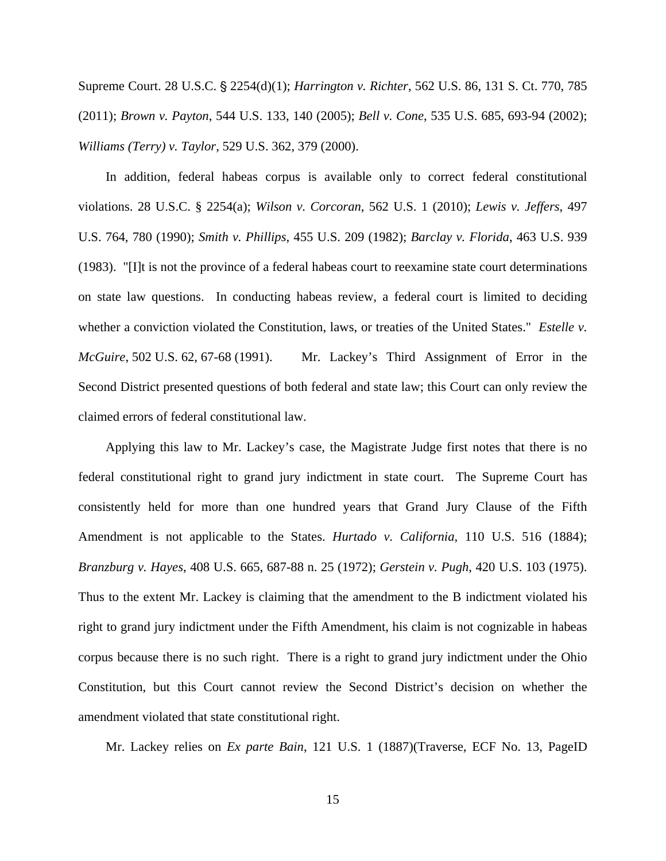Supreme Court. 28 U.S.C. § 2254(d)(1); *Harrington v. Richter*, 562 U.S. 86, 131 S. Ct. 770, 785 (2011); *Brown v. Payton*, 544 U.S. 133, 140 (2005); *Bell v. Cone*, 535 U.S. 685, 693-94 (2002); *Williams (Terry) v. Taylor*, 529 U.S. 362, 379 (2000).

 In addition, federal habeas corpus is available only to correct federal constitutional violations. 28 U.S.C. § 2254(a); *Wilson v. Corcoran*, 562 U.S. 1 (2010); *Lewis v. Jeffers*, 497 U.S. 764, 780 (1990); *Smith v. Phillips*, 455 U.S. 209 (1982); *Barclay v. Florida*, 463 U.S. 939 (1983). "[I]t is not the province of a federal habeas court to reexamine state court determinations on state law questions. In conducting habeas review, a federal court is limited to deciding whether a conviction violated the Constitution, laws, or treaties of the United States." *Estelle v. McGuire*, 502 U.S. 62, 67-68 (1991). Mr. Lackey's Third Assignment of Error in the Second District presented questions of both federal and state law; this Court can only review the claimed errors of federal constitutional law.

 Applying this law to Mr. Lackey's case, the Magistrate Judge first notes that there is no federal constitutional right to grand jury indictment in state court. The Supreme Court has consistently held for more than one hundred years that Grand Jury Clause of the Fifth Amendment is not applicable to the States. *Hurtado v. California*, 110 U.S. 516 (1884); *Branzburg v. Hayes*, 408 U.S. 665, 687-88 n. 25 (1972); *Gerstein v. Pugh*, 420 U.S. 103 (1975). Thus to the extent Mr. Lackey is claiming that the amendment to the B indictment violated his right to grand jury indictment under the Fifth Amendment, his claim is not cognizable in habeas corpus because there is no such right. There is a right to grand jury indictment under the Ohio Constitution, but this Court cannot review the Second District's decision on whether the amendment violated that state constitutional right.

Mr. Lackey relies on *Ex parte Bain*, 121 U.S. 1 (1887)(Traverse, ECF No. 13, PageID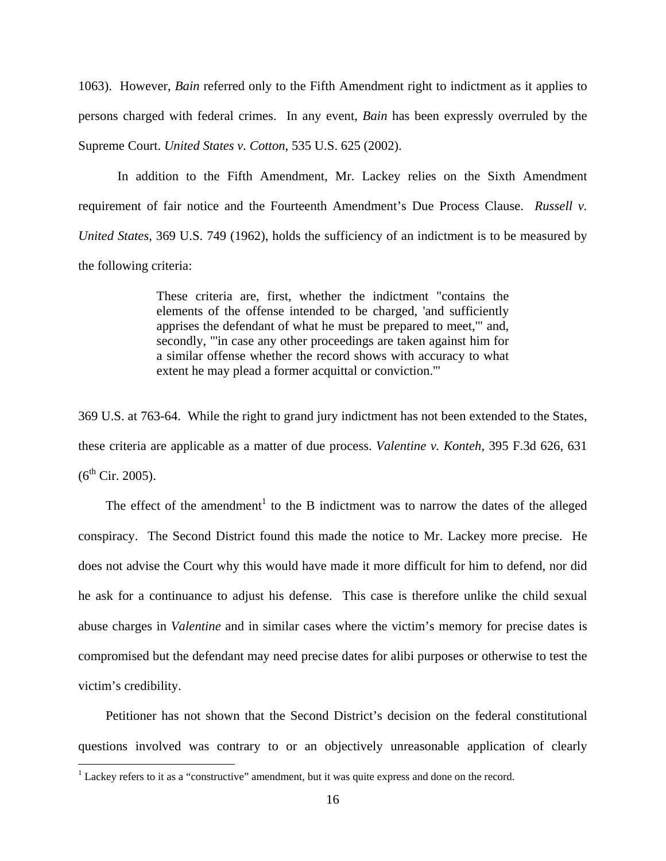1063). However, *Bain* referred only to the Fifth Amendment right to indictment as it applies to persons charged with federal crimes. In any event, *Bain* has been expressly overruled by the Supreme Court. *United States v. Cotton*, 535 U.S. 625 (2002).

 In addition to the Fifth Amendment, Mr. Lackey relies on the Sixth Amendment requirement of fair notice and the Fourteenth Amendment's Due Process Clause. *Russell v. United States*, 369 U.S. 749 (1962), holds the sufficiency of an indictment is to be measured by the following criteria:

> These criteria are, first, whether the indictment "contains the elements of the offense intended to be charged, 'and sufficiently apprises the defendant of what he must be prepared to meet,'" and, secondly, "'in case any other proceedings are taken against him for a similar offense whether the record shows with accuracy to what extent he may plead a former acquittal or conviction.'"

369 U.S. at 763-64. While the right to grand jury indictment has not been extended to the States, these criteria are applicable as a matter of due process. *Valentine v. Konteh*, 395 F.3d 626, 631  $(6^{th}$  Cir. 2005).

The effect of the amendment<sup>1</sup> to the B indictment was to narrow the dates of the alleged conspiracy. The Second District found this made the notice to Mr. Lackey more precise. He does not advise the Court why this would have made it more difficult for him to defend, nor did he ask for a continuance to adjust his defense. This case is therefore unlike the child sexual abuse charges in *Valentine* and in similar cases where the victim's memory for precise dates is compromised but the defendant may need precise dates for alibi purposes or otherwise to test the victim's credibility.

 Petitioner has not shown that the Second District's decision on the federal constitutional questions involved was contrary to or an objectively unreasonable application of clearly

 $\overline{a}$ 

 $<sup>1</sup>$  Lackey refers to it as a "constructive" amendment, but it was quite express and done on the record.</sup>